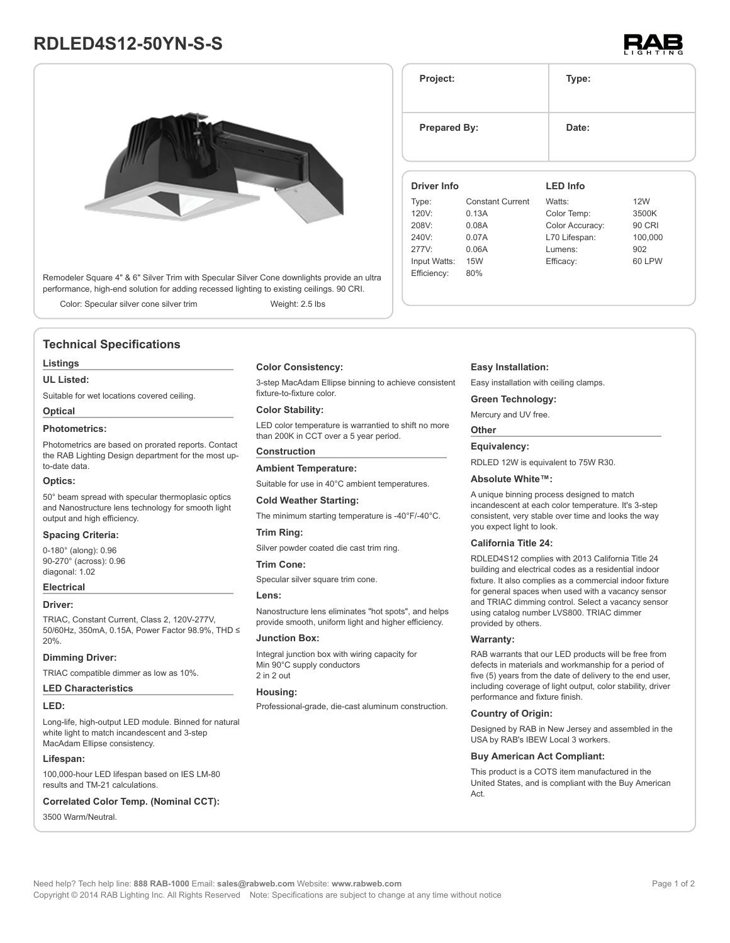# **RDLED4S12-50YN-S-S**



Remodeler Square 4" & 6" Silver Trim with Specular Silver Cone downlights provide an ultra performance, high-end solution for adding recessed lighting to existing ceilings. 90 CRI.

Color: Specular silver cone silver trim Weight: 2.5 lbs

# **Technical Specifications**

# **Listings**

# **UL Listed:**

Suitable for wet locations covered ceiling.

# **Optical**

# **Photometrics:**

Photometrics are based on prorated reports. Contact the RAB Lighting Design department for the most upto-date data.

## **Optics:**

50° beam spread with specular thermoplasic optics and Nanostructure lens technology for smooth light output and high efficiency.

# **Spacing Criteria:**

0-180° (along): 0.96 90-270° (across): 0.96 diagonal: 1.02

#### **Electrical**

#### **Driver:**

TRIAC, Constant Current, Class 2, 120V-277V, 50/60Hz, 350mA, 0.15A, Power Factor 98.9%, THD ≤ 20%.

#### **Dimming Driver:**

TRIAC compatible dimmer as low as 10%.

# **LED Characteristics**

## **LED:**

Long-life, high-output LED module. Binned for natural white light to match incandescent and 3-step MacAdam Ellipse consistency.

# **Lifespan:**

100,000-hour LED lifespan based on IES LM-80 results and TM-21 calculations.

### **Correlated Color Temp. (Nominal CCT):**

3500 Warm/Neutral.

# **Color Consistency:**

3-step MacAdam Ellipse binning to achieve consistent fixture-to-fixture color.

# **Color Stability:**

LED color temperature is warrantied to shift no more than 200K in CCT over a 5 year period.

# **Construction**

**Ambient Temperature:** Suitable for use in 40°C ambient temperatures.

#### **Cold Weather Starting:**

The minimum starting temperature is -40°F/-40°C.

# **Trim Ring:**

Silver powder coated die cast trim ring.

#### **Trim Cone:**

Specular silver square trim cone.

#### **Lens:**

Nanostructure lens eliminates "hot spots", and helps provide smooth, uniform light and higher efficiency.

### **Junction Box:**

Integral junction box with wiring capacity for Min 90°C supply conductors 2 in 2 out

#### **Housing:**

Professional-grade, die-cast aluminum construction.

#### **Easy Installation:**

Easy installation with ceiling clamps.

# **Green Technology:**

Mercury and UV free.

# **Other**

**Equivalency:**

# RDLED 12W is equivalent to 75W R30.

# **Absolute White™:**

A unique binning process designed to match incandescent at each color temperature. It's 3-step consistent, very stable over time and looks the way you expect light to look.

### **California Title 24:**

RDLED4S12 complies with 2013 California Title 24 building and electrical codes as a residential indoor fixture. It also complies as a commercial indoor fixture for general spaces when used with a vacancy sensor and TRIAC dimming control. Select a vacancy sensor using catalog number LVS800. TRIAC dimmer provided by others.

### **Warranty:**

RAB warrants that our LED products will be free from defects in materials and workmanship for a period of five (5) years from the date of delivery to the end user, including coverage of light output, color stability, driver performance and fixture finish.

## **Country of Origin:**

Designed by RAB in New Jersey and assembled in the USA by RAB's IBEW Local 3 workers.

#### **Buy American Act Compliant:**

This product is a COTS item manufactured in the United States, and is compliant with the Buy American Act.



| Project:<br><b>Prepared By:</b> |                         | Type:<br>Date:  |            |
|---------------------------------|-------------------------|-----------------|------------|
|                                 |                         |                 |            |
| Type:                           | <b>Constant Current</b> | Watts:          | <b>12W</b> |
| 120V:                           | 0.13A                   | Color Temp:     | 3500K      |
| 208V:                           | 0.08A                   | Color Accuracy: | 90 CRI     |
| 240V:                           | 0.07A                   | L70 Lifespan:   | 100,000    |
| 277V:                           | 0.06A                   | Lumens:         | 902        |
| Input Watts:                    | <b>15W</b>              | Efficacy:       | 60 LPW     |
| Efficiency:                     | 80%                     |                 |            |
|                                 |                         |                 |            |